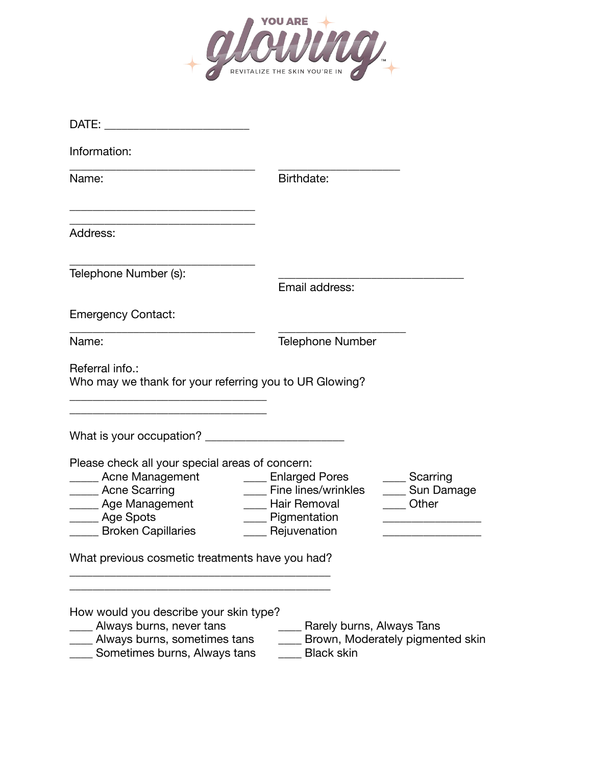

| DATE:                                                                                                                                                                                                                                |                                                                                                   |                                            |
|--------------------------------------------------------------------------------------------------------------------------------------------------------------------------------------------------------------------------------------|---------------------------------------------------------------------------------------------------|--------------------------------------------|
| Information:                                                                                                                                                                                                                         |                                                                                                   |                                            |
| Name:                                                                                                                                                                                                                                | Birthdate:                                                                                        |                                            |
| Address:                                                                                                                                                                                                                             |                                                                                                   |                                            |
| Telephone Number (s):                                                                                                                                                                                                                | Email address:                                                                                    |                                            |
| <b>Emergency Contact:</b>                                                                                                                                                                                                            |                                                                                                   |                                            |
| Name:                                                                                                                                                                                                                                | <b>Telephone Number</b>                                                                           |                                            |
| Referral info.:<br>Who may we thank for your referring you to UR Glowing?                                                                                                                                                            |                                                                                                   |                                            |
| What is your occupation?                                                                                                                                                                                                             |                                                                                                   |                                            |
| Please check all your special areas of concern:<br><b>EXACLE Management</b><br>_____ Acne Scarring<br>___ Age Management<br>_____ Age Spots<br><b>Exercise Broken Capillaries</b><br>What previous cosmetic treatments have you had? | <b>Enlarged Pores</b><br>Fine lines/wrinkles<br>Hair Removal<br>_ Pigmentation<br>__ Rejuvenation | _____ Scarring<br>____ Sun Damage<br>Other |
| How would you describe your skin type?<br>Always burns, never tans<br>Always burns, sometimes tans                                                                                                                                   | Rarely burns, Always Tans                                                                         | Brown, Moderately pigmented skin           |
| Sometimes burns, Always tans                                                                                                                                                                                                         | <b>Black skin</b>                                                                                 |                                            |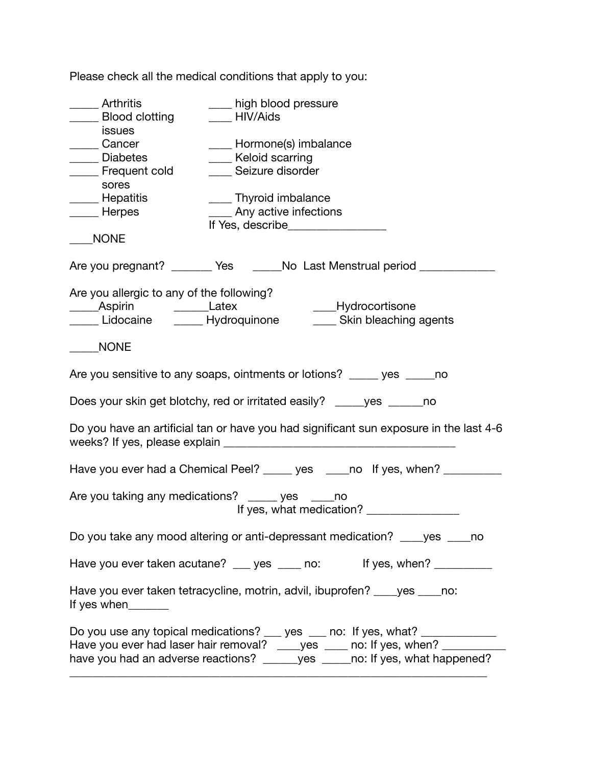| Arthritis<br>__ Blood clotting                                                                                                                                                                                                                | ____ high blood pressure<br>HIV/Aids                                                |  |  |  |
|-----------------------------------------------------------------------------------------------------------------------------------------------------------------------------------------------------------------------------------------------|-------------------------------------------------------------------------------------|--|--|--|
| issues<br>____ Cancer<br>Diabetes<br>_____ Frequent cold                                                                                                                                                                                      | ____ Hormone(s) imbalance<br>____ Keloid scarring<br>Seizure disorder               |  |  |  |
| sores<br>____ Hepatitis<br>____ Herpes                                                                                                                                                                                                        | ____ Thyroid imbalance<br>Any active infections<br>If Yes, describe________________ |  |  |  |
| <b>NONE</b>                                                                                                                                                                                                                                   |                                                                                     |  |  |  |
|                                                                                                                                                                                                                                               | Are you pregnant? ________ Yes _______No Last Menstrual period ____________         |  |  |  |
| Are you allergic to any of the following?<br>______Aspirin _________Latex<br>Lidocaine _____ Hydroquinone                                                                                                                                     | ___Hydrocortisone<br>Skin bleaching agents                                          |  |  |  |
| <b>NONE</b>                                                                                                                                                                                                                                   |                                                                                     |  |  |  |
|                                                                                                                                                                                                                                               | Are you sensitive to any soaps, ointments or lotions? _____ yes _____ no            |  |  |  |
| Does your skin get blotchy, red or irritated easily? _____ yes ______ no                                                                                                                                                                      |                                                                                     |  |  |  |
| Do you have an artificial tan or have you had significant sun exposure in the last 4-6                                                                                                                                                        |                                                                                     |  |  |  |
|                                                                                                                                                                                                                                               | Have you ever had a Chemical Peel? _____ yes ____ no If yes, when? _________        |  |  |  |
|                                                                                                                                                                                                                                               | Are you taking any medications? _____ yes ____no                                    |  |  |  |
|                                                                                                                                                                                                                                               | Do you take any mood altering or anti-depressant medication? _____ yes _____ no     |  |  |  |
|                                                                                                                                                                                                                                               | If yes, when? $\frac{1}{2}$ [13]<br>Have you ever taken acutane? __ yes __ no:      |  |  |  |
| If yes when $\frac{1}{2}$                                                                                                                                                                                                                     | Have you ever taken tetracycline, motrin, advil, ibuprofen? ____ yes ____ no:       |  |  |  |
| Do you use any topical medications? __ yes __ no: If yes, what? ___________<br>Have you ever had laser hair removal? ____ yes ____ no: If yes, when? ________<br>have you had an adverse reactions? ______yes _____no: If yes, what happened? |                                                                                     |  |  |  |

Please check all the medical conditions that apply to you: